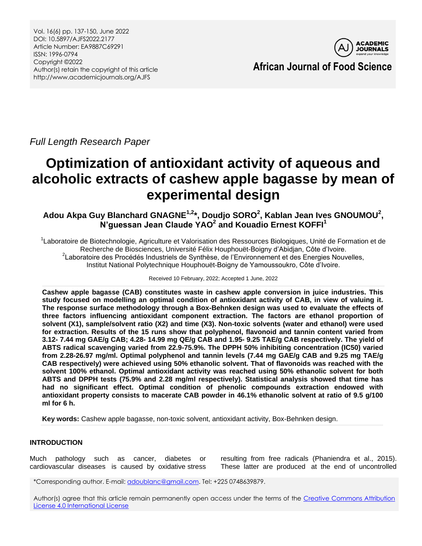Vol. 16(6) pp. 137-150, June 2022 DOI: 10.5897/AJFS2022.2177 Article Number: EA9887C69291 ISSN: 1996-0794 Copyright ©2022 Author(s) retain the copyright of this article http://www.academicjournals.org/AJFS



**African Journal of Food Science**

*Full Length Research Paper*

# **Optimization of antioxidant activity of aqueous and alcoholic extracts of cashew apple bagasse by mean of experimental design**

**Adou Akpa Guy Blanchard GNAGNE1,2 \*, Doudjo SORO<sup>2</sup> , Kablan Jean Ives GNOUMOU<sup>2</sup> , N'guessan Jean Claude YAO<sup>2</sup> and Kouadio Ernest KOFFI<sup>1</sup>**

<sup>1</sup>Laboratoire de Biotechnologie, Agriculture et Valorisation des Ressources Biologiques, Unité de Formation et de Recherche de Biosciences, Université Félix Houphouët-Boigny d'Abidjan, Côte d'Ivoire. <sup>2</sup> Laboratoire des Procédés Industriels de Synthèse, de l'Environnement et des Energies Nouvelles, Institut National Polytechnique Houphouët-Boigny de Yamoussoukro, Côte d'Ivoire.

Received 10 February, 2022; Accepted 1 June, 2022

**Cashew apple bagasse (CAB) constitutes waste in cashew apple conversion in juice industries. This study focused on modelling an optimal condition of antioxidant activity of CAB, in view of valuing it. The response surface methodology through a Box-Behnken design was used to evaluate the effects of three factors influencing antioxidant component extraction. The factors are ethanol proportion of solvent (X1), sample/solvent ratio (X2) and time (X3). Non-toxic solvents (water and ethanol) were used for extraction. Results of the 15 runs show that polyphenol, flavonoid and tannin content varied from 3.12- 7.44 mg GAE/g CAB; 4.28- 14.99 mg QE/g CAB and 1.95- 9.25 TAE/g CAB respectively. The yield of ABTS radical scavenging varied from 22.9-75.9%. The DPPH 50% inhibiting concentration (IC50) varied from 2.28-26.97 mg/ml. Optimal polyphenol and tannin levels (7.44 mg GAE/g CAB and 9.25 mg TAE/g CAB respectively) were achieved using 50% ethanolic solvent. That of flavonoids was reached with the solvent 100% ethanol. Optimal antioxidant activity was reached using 50% ethanolic solvent for both ABTS and DPPH tests (75.9% and 2.28 mg/ml respectively). Statistical analysis showed that time has had no significant effect. Optimal condition of phenolic compounds extraction endowed with antioxidant property consists to macerate CAB powder in 46.1% ethanolic solvent at ratio of 9.5 g/100 ml for 6 h.**

**Key words:** Cashew apple bagasse, non-toxic solvent, antioxidant activity, Box-Behnken design.

# **INTRODUCTION**

Much pathology such as cancer, diabetes or cardiovascular diseases is caused by oxidative stress resulting from free radicals (Phaniendra et al., 2015). These latter are produced at the end of uncontrolled

\*Corresponding author. E-mail[: adoublanc@gmail.com.](mailto:adoublanc@gmail.com) Tel: +225 0748639879.

Author(s) agree that this article remain permanently open access under the terms of the Creative Commons Attribution [License 4.0 International License](http://creativecommons.org/licenses/by/4.0/deed.en_US)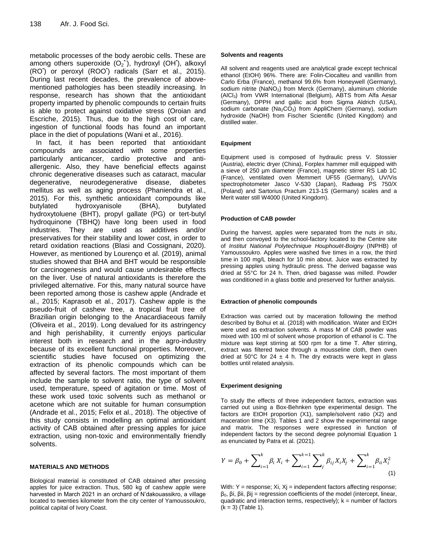metabolic processes of the body aerobic cells. These are among others superoxide  $(O_2^{\bullet\bullet})$ , hydroxyl (OH<sup>t</sup>), alkoxyl (RO• ) or peroxyl (ROO• ) radicals (Sarr et al., 2015). During last recent decades, the prevalence of abovementioned pathologies has been steadily increasing. In response, research has shown that the antioxidant property imparted by phenolic compounds to certain fruits is able to protect against oxidative stress (Oroian and Escriche, 2015). Thus, due to the high cost of care, ingestion of functional foods has found an important place in the diet of populations (Wani et al., 2016).

In fact, it has been reported that antioxidant compounds are associated with some properties particularly anticancer, cardio protective and antiallergenic. Also, they have beneficial effects against chronic degenerative diseases such as cataract, macular degenerative, neurodegenerative disease, diabetes mellitus as well as aging process (Phaniendra et al., 2015). For this, synthetic antioxidant compounds like butylated hydroxyanisole (BHA), butylated hydroxytoluene (BHT), propyl gallate (PG) or tert-butyl hydroquinone (TBHQ) have long been used in food industries. They are used as additives and/or preservatives for their stability and lower cost, in order to retard oxidation reactions (Blasi and Cossignani, 2020). However, as mentioned by Lourenço et al. (2019), animal studies showed that BHA and BHT would be responsible for carcinogenesis and would cause undesirable effects on the liver. Use of natural antioxidants is therefore the privileged alternative. For this, many natural source have been reported among those is cashew apple (Andrade et al., 2015; Kaprasob et al., 2017). Cashew apple is the pseudo-fruit of cashew tree, a tropical fruit tree of Brazilian origin belonging to the Anacardiaceous family (Oliveira et al., 2019). Long devalued for its astringency and high perishability, it currently enjoys particular interest both in research and in the agro-industry because of its excellent functional properties. Moreover, scientific studies have focused on optimizing the extraction of its phenolic compounds which can be affected by several factors. The most important of them include the sample to solvent ratio, the type of solvent used, temperature, speed of agitation or time. Most of these work used toxic solvents such as methanol or acetone which are not suitable for human consumption (Andrade et al., 2015; Felix et al., 2018). The objective of this study consists in modelling an optimal antioxidant activity of CAB obtained after pressing apples for juice extraction, using non-toxic and environmentally friendly solvents.

## **MATERIALS AND METHODS**

Biological material is constituted of CAB obtained after pressing apples for juice extraction. Thus, 580 kg of cashew apple were harvested in March 2021 in an orchard of N'dakouassikro, a village located to twenties kilometer from the city center of Yamoussoukro, political capital of Ivory Coast.

## **Solvents and reagents**

All solvent and reagents used are analytical grade except technical ethanol (EtOH) 96%. There are: Folin-Ciocalteu and vanillin from Carlo Erba (France), methanol 99.6% from Honeywell (Germany), sodium nitrite (NaNO<sub>2</sub>) from Merck (Germany), aluminum chloride (AlCl3) from VWR International (Belgium), ABTS from Alfa Aesar (Germany), DPPH and gallic acid from Sigma Aldrich (USA), sodium carbonate ( $Na<sub>2</sub>CO<sub>3</sub>$ ) from AppliChem (Germany), sodium hydroxide (NaOH) from Fischer Scientific (United Kingdom) and distilled water.

## **Equipment**

Equipment used is composed of hydraulic press V. Stossier (Austria), electric dryer (China), Forplex hammer mill equipped with a sieve of 250 µm diameter (France), magnetic stirrer RS Lab 1C (France), ventilated oven Memmert UF55 (Germany), UV/Vis spectrophotometer Jasco V-530 (Japan), Radwag PS 750/X (Poland) and Sartorius Practum 213-1S (Germany) scales and a Merit water still W4000 (United Kingdom).

## **Production of CAB powder**

During the harvest, apples were separated from the nuts *in situ*, and then convoyed to the school-factory located to the Centre site of *Institut National Polytechnique Houphouët-Boigny* (INPHB) of Yamoussoukro. Apples were washed five times in a row, the third time in 100 mg/L bleach for 10 min about. Juice was extracted by pressing apples using hydraulic press. The derived bagasse was dried at 55°C for 24 h. Then, dried bagasse was milled. Powder was conditioned in a glass bottle and preserved for further analysis.

## **Extraction of phenolic compounds**

Extraction was carried out by maceration following the method described by Bohui et al. (2018) with modification. Water and EtOH were used as extraction solvents. A mass M of CAB powder was mixed with 100 ml of solvent whose proportion of ethanol is C. The mixture was kept stirring at 500 rpm for a time T. After stirring, extract was filtered twice through a mousseline cloth, then oven dried at 50°C for 24  $\pm$  4 h. The dry extracts were kept in glass bottles until related analysis.

## **Experiment designing**

To study the effects of three independent factors, extraction was carried out using a Box-Behnken type experimental design. The factors are EtOH proportion (X1), sample/solvent ratio (X2) and maceration time (X3). Tables 1 and 2 show the experimental range and matrix. The responses were expressed in function of independent factors by the second degree polynomial Equation 1 as enunciated by Patra et al. (2021).

$$
Y = \beta_0 + \sum_{i=1}^{k} \beta_i X_i + \sum_{i=1}^{k-1} \sum_{j}^{k} \beta_{ij} X_i X_j + \sum_{i=1}^{k} \beta_{ii} X_i^2
$$
\n(1)

With:  $Y =$  response;  $Xi$ ,  $Xj =$  independent factors affecting response; β0, βi, βii, βij = regression coefficients of the model (intercept, linear, quadratic and interaction terms, respectively);  $k =$  number of factors  $(k = 3)$  (Table 1).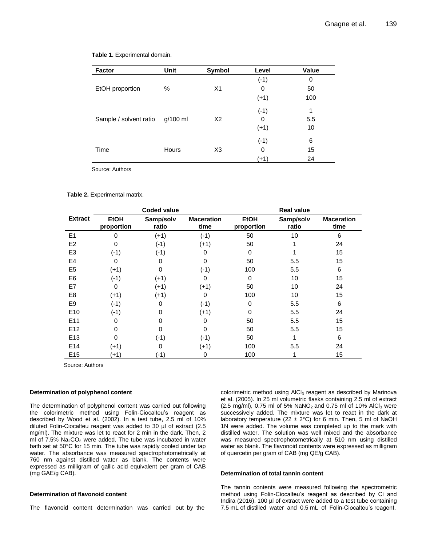| <b>Factor</b>          | Unit       | Symbol         | Level  | Value |
|------------------------|------------|----------------|--------|-------|
| EtOH proportion        |            |                | $(-1)$ | 0     |
|                        | $\%$       | X <sub>1</sub> | 0      | 50    |
|                        |            |                | $(+1)$ | 100   |
|                        |            |                | $(-1)$ | 1     |
| Sample / solvent ratio | $g/100$ ml | X2             | 0      | 5.5   |
|                        |            |                | $(+1)$ | 10    |
|                        |            |                | $(-1)$ | 6     |
| Time                   | Hours      | X <sub>3</sub> | 0      | 15    |
|                        |            |                | (+1)   | 24    |

#### **Table 1.** Experimental domain.

Source: Authors

#### **Table 2.** Experimental matrix.

|                 |                           | <b>Coded value</b> |                           |                           | <b>Real value</b>  |                           |
|-----------------|---------------------------|--------------------|---------------------------|---------------------------|--------------------|---------------------------|
| <b>Extract</b>  | <b>EtOH</b><br>proportion | Samp/solv<br>ratio | <b>Maceration</b><br>time | <b>EtOH</b><br>proportion | Samp/solv<br>ratio | <b>Maceration</b><br>time |
| E1              | 0                         | $(+1)$             | $(-1)$                    | 50                        | 10                 | 6                         |
| E <sub>2</sub>  | 0                         | $(-1)$             | $(+1)$                    | 50                        |                    | 24                        |
| E <sub>3</sub>  | $(-1)$                    | $(-1)$             | $\Omega$                  | $\Omega$                  |                    | 15                        |
| E <sub>4</sub>  | 0                         | 0                  | 0                         | 50                        | 5.5                | 15                        |
| E <sub>5</sub>  | $(+1)$                    | 0                  | $(-1)$                    | 100                       | 5.5                | 6                         |
| E <sub>6</sub>  | $(-1)$                    | $(+1)$             | 0                         | 0                         | 10                 | 15                        |
| E7              | $\Omega$                  | (+1)               | $(+1)$                    | 50                        | 10                 | 24                        |
| E <sub>8</sub>  | $(+1)$                    | $(+1)$             | $\Omega$                  | 100                       | 10                 | 15                        |
| E <sub>9</sub>  | $(-1)$                    | 0                  | $(-1)$                    | $\Omega$                  | 5.5                | 6                         |
| E <sub>10</sub> | $(-1)$                    | $\Omega$           | $(+1)$                    | $\Omega$                  | 5.5                | 24                        |
| E <sub>11</sub> | 0                         | 0                  | 0                         | 50                        | 5.5                | 15                        |
| E <sub>12</sub> | ი                         | 0                  | 0                         | 50                        | 5.5                | 15                        |
| E <sub>13</sub> | 0                         | $(-1)$             | $(-1)$                    | 50                        |                    | 6                         |
| E14             | $(+1)$                    | 0                  | $(+1)$                    | 100                       | 5.5                | 24                        |
| E <sub>15</sub> | $(+1)$                    | $(-1)$             | 0                         | 100                       |                    | 15                        |

Source: Authors

#### **Determination of polyphenol content**

The determination of polyphenol content was carried out following the colorimetric method using Folin-Ciocalteu's reagent as described by Wood et al. (2002). In a test tube, 2.5 ml of 10% diluted Folin-Ciocalteu reagent was added to 30 µl of extract (2.5 mg/ml). The mixture was let to react for 2 min in the dark. Then, 2 ml of  $7.5\%$  Na<sub>2</sub>CO<sub>3</sub> were added. The tube was incubated in water bath set at 50°C for 15 min. The tube was rapidly cooled under tap water. The absorbance was measured spectrophotometrically at 760 nm against distilled water as blank. The contents were expressed as milligram of gallic acid equivalent per gram of CAB (mg GAE/g CAB).

#### **Determination of flavonoid content**

The flavonoid content determination was carried out by the

colorimetric method using AlCl<sub>3</sub> reagent as described by Marinova et al. (2005). In 25 ml volumetric flasks containing 2.5 ml of extract (2.5 mg/ml), 0.75 ml of 5% NaNO<sub>2</sub> and 0.75 ml of 10% AlCl<sub>3</sub> were successively added. The mixture was let to react in the dark at laboratory temperature (22  $\pm$  2°C) for 6 min. Then, 5 ml of NaOH 1N were added. The volume was completed up to the mark with distilled water. The solution was well mixed and the absorbance was measured spectrophotometrically at 510 nm using distilled water as blank. The flavonoid contents were expressed as milligram of quercetin per gram of CAB (mg QE/g CAB).

#### **Determination of total tannin content**

The tannin contents were measured following the spectrometric method using Folin-Ciocalteu's reagent as described by Ci and Indira (2016). 100 µl of extract were added to a test tube containing 7.5 mL of distilled water and 0.5 mL of Folin-Ciocalteu's reagent.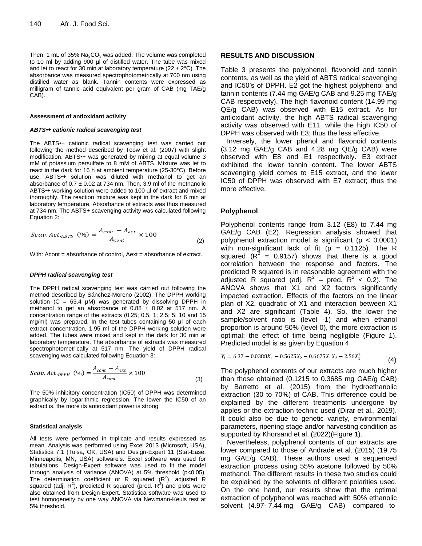Then, 1 mL of  $35\%$  Na<sub>2</sub>CO<sub>3</sub> was added. The volume was completed to 10 ml by adding 900 µl of distilled water. The tube was mixed and let to react for 30 min at laboratory temperature (22  $\pm$  2°C). The absorbance was measured spectrophotometrically at 700 nm using distilled water as blank. Tannin contents were expressed as milligram of tannic acid equivalent per gram of CAB (mg TAE/g CAB).

#### **Assessment of antioxidant activity**

#### *ABTS•+ cationic radical scavenging test*

The ABTS•+ cationic radical scavenging test was carried out following the method described by Teow et al. (2007) with slight modification. ABTS•+ was generated by mixing at equal volume 3 mM of potassium persulfate to 8 mM of ABTS. Mixture was let to react in the dark for 16 h at ambient temperature (25-30°C). Before use, ABTS<sup>\*+</sup> solution was diluted with methanol to get an absorbance of  $0.7 \pm 0.02$  at 734 nm. Then, 3.9 ml of the methanolic ABTS•+ working solution were added to 100 µl of extract and mixed thoroughly. The reaction mixture was kept in the dark for 6 min at laboratory temperature. Absorbance of extracts was thus measured at 734 nm. The ABTS+ scavenging activity was calculated following Equation 2:

$$
Scav. Act.ABTS (%) = \frac{A_{cont} - A_{ext}}{A_{cont}} \times 100
$$
 (2)

With: Acont = absorbance of control, Aext = absorbance of extract.

#### *DPPH radical scavenging test*

The DPPH radical scavenging test was carried out following the method described by Sánchez-Moreno (2002). The DPPH working solution (C = 63.4  $\mu$ M) was generated by dissolving DPPH in methanol to get an absorbance of  $0.88 \pm 0.02$  at 517 nm. A concentration range of the extracts (0.25; 0.5; 1; 2.5; 5; 10 and 15 mg/ml) was prepared. In the test tubes containing 50 µl of each extract concentration, 1.95 ml of the DPPH working solution were added. The tubes were mixed and kept in the dark for 30 min at laboratory temperature. The absorbance of extracts was measured spectrophotometrically at 517 nm. The yield of DPPH radical scavenging was calculated following Equation 3:

$$
Scav.ActDPPH (%) = \frac{A_{cont} - A_{ext}}{A_{cont}} \times 100
$$
\n(3)

The 50% inhibitory concentration (IC50) of DPPH was determined graphically by logarithmic regression. The lower the IC50 of an extract is, the more its antioxidant power is strong.

#### **Statistical analysis**

All tests were performed in triplicate and results expressed as mean. Analysis was performed using Excel 2013 (Microsoft, USA), Statistica 7.1 (Tulsa, OK, USA) and Design-Expert 11 (Stat-Ease, Minneapolis, MN, USA) software's. Excel software was used for tabulations. Design-Expert software was used to fit the model through analysis of variance (ANOVA) at 5% threshold (p<0.05). The determination coefficient or R squared  $(R^2)$ , adjusted R squared (adj.  $R^2$ ), predicted R squared (pred.  $R^2$ ) and plots were also obtained from Design-Expert. Statistica software was used to test homogeneity by one way ANOVA via Newmann-Keuls test at 5% threshold.

## **RESULTS AND DISCUSSION**

Table 3 presents the polyphenol, flavonoid and tannin contents, as well as the yield of ABTS radical scavenging and IC50's of DPPH. E2 got the highest polyphenol and tannin contents (7.44 mg GAE/g CAB and 9.25 mg TAE/g CAB respectively). The high flavonoid content (14.99 mg QE/g CAB) was observed with E15 extract. As for antioxidant activity, the high ABTS radical scavenging activity was observed with E11, while the high IC50 of DPPH was observed with E3; thus the less effective.

Inversely, the lower phenol and flavonoid contents (3.12 mg GAE/g CAB and 4.28 mg QE/g CAB) were observed with E8 and E1 respectively. E3 extract exhibited the lower tannin content. The lower ABTS scavenging yield comes to E15 extract, and the lower IC50 of DPPH was observed with E7 extract; thus the more effective.

## **Polyphenol**

Polyphenol contents range from 3.12 (E8) to 7.44 mg GAE/g CAB (E2). Regression analysis showed that polyphenol extraction model is significant ( $p < 0.0001$ ) with non-significant lack of fit ( $p = 0.1125$ ). The R squared ( $R^2$  = 0.9157) shows that there is a good correlation between the response and factors. The predicted R squared is in reasonable agreement with the adjusted R squared (adj.  $R^2$  – pred.  $R^2$  < 0.2). The ANOVA shows that X1 and X2 factors significantly impacted extraction. Effects of the factors on the linear plan of X2, quadratic of X1 and interaction between X1 and X2 are significant (Table 4). So, the lower the sample/solvent ratio is (level -1) and when ethanol proportion is around 50% (level 0), the more extraction is optimal; the effect of time being negligible (Figure 1). Predicted model is as given by Equation 4:

$$
Y_1 = 6.37 - 0.0388X_1 - 0.5625X_2 - 0.6675X_1X_2 - 2.56X_1^2
$$
\n(4)

4): quation 3:  $Y_1 = 6.37 - 0.0388X_1 - 0.5625X_2 - 0.6675X_1X_2 - 2.56X_1^2$  (4)<br>  $\times 100$  The polyphenol contents of our extracts are much higher than those obtained (0.1215 to 0.3685 mg GAE/g CAB) by Barretto et al. (2015) from the hydroethanolic extraction (30 to 70%) of CAB. This difference could be explained by the different treatments undergone by apples or the extraction technic used (Dirar et al., 2019). It could also be due to genetic variety, environmental parameters, ripening stage and/or harvesting condition as supported by Khorsand et al. (2022)(Figure 1).

> Nevertheless, polyphenol contents of our extracts are lower compared to those of Andrade et al. (2015) (19.75 mg GAE/g CAB). These authors used a sequenced extraction process using 55% acetone followed by 50% methanol. The different results in these two studies could be explained by the solvents of different polarities used. On the one hand, our results show that the optimal extraction of polyphenol was reached with 50% ethanolic solvent (4.97- 7.44 mg GAE/g CAB) compared to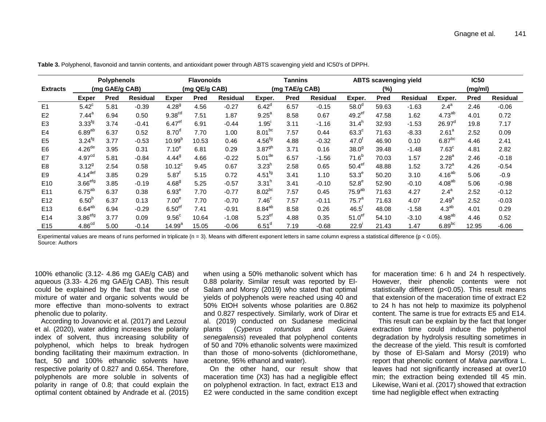|                 |                       | <b>Polyphenols</b> |                 |                      | <b>Flavonoids</b> |                 |                      | Tannins        |                 |                      | <b>ABTS scavenging yield</b> |                 |                    | <b>IC50</b> |                 |
|-----------------|-----------------------|--------------------|-----------------|----------------------|-------------------|-----------------|----------------------|----------------|-----------------|----------------------|------------------------------|-----------------|--------------------|-------------|-----------------|
| <b>Extracts</b> |                       | (mg GAE/g CAB)     |                 |                      | (mg QE/g CAB)     |                 |                      | (mg TAE/g CAB) |                 |                      | (%)                          |                 |                    | (mg/ml)     |                 |
|                 | <b>Exper</b>          | Pred               | <b>Residual</b> | <b>Exper</b>         | <b>Pred</b>       | <b>Residual</b> | Exper.               | Pred           | <b>Residual</b> | Exper.               | <b>Pred</b>                  | <b>Residual</b> | Exper.             | Pred        | <b>Residual</b> |
| E1              | $5.42^c$              | 5.81               | $-0.39$         | $4.28^{9}$           | 4.56              | $-0.27$         | 6.42 <sup>d</sup>    | 6.57           | $-0.15$         | 58.0 <sup>d</sup>    | 59.63                        | $-1.63$         | $2.4^a$            | 2.46        | $-0.06$         |
| E <sub>2</sub>  | $7.44$ <sup>a</sup>   | 6.94               | 0.50            | 9.38 <sup>cd</sup>   | 7.51              | 1.87            | $9.25^{\circ}$       | 8.58           | 0.67            | $49.2$ <sup>ef</sup> | 47.58                        | 1.62            | $4.73^{ab}$        | 4.01        | 0.72            |
| E <sub>3</sub>  | $3.33^{fg}$           | 3.74               | $-0.41$         | $6.47$ <sup>ef</sup> | 6.91              | $-0.44$         | 1.95'                | 3.11           | $-1.16$         | 31.4 <sup>h</sup>    | 32.93                        | $-1.53$         | $26.97^{\circ}$    | 19.8        | 7.17            |
| E <sub>4</sub>  | $6.89^{ab}$           | 6.37               | 0.52            | 8.70 <sup>d</sup>    | 7.70              | 1.00            | $8.01^{bc}$          | 7.57           | 0.44            | $63.3^\circ$         | 71.63                        | $-8.33$         | 2.61 <sup>a</sup>  | 2.52        | 0.09            |
| E <sub>5</sub>  | $3.24^{fg}$           | 3.77               | $-0.53$         | 10.99 <sup>b</sup>   | 10.53             | 0.46            | 4.56 <sup>fg</sup>   | 4.88           | $-0.32$         | $47.0^{\circ}$       | 46.90                        | 0.10            | $6.87^{bc}$        | 4.46        | 2.41            |
| E <sub>6</sub>  | 4.26 <sup>de</sup>    | 3.95               | 0.31            | 7.10 <sup>e</sup>    | 6.81              | 0.29            | $3.87^{gh}$          | 3.71           | 0.16            | 38.0 <sup>9</sup>    | 39.48                        | $-1.48$         | $7.63^{\circ}$     | 4.81        | 2.82            |
| E7              | 4.97 <sup>cd</sup>    | 5.81               | $-0.84$         | 4.44 <sup>9</sup>    | 4.66              | $-0.22$         | 5.01 <sup>de</sup>   | 6.57           | $-1.56$         | $71.6^{b}$           | 70.03                        | 1.57            | $2.28^{a}$         | 2.46        | $-0.18$         |
| E <sub>8</sub>  | $3.12^{9}$            | 2.54               | 0.58            | $10.12^c$            | 9.45              | 0.67            | 3.23 <sup>h</sup>    | 2.58           | 0.65            | 50.4 <sup>ef</sup>   | 48.88                        | 1.52            | $3.72^a$           | 4.26        | $-0.54$         |
| E <sub>9</sub>  | $4.14$ <sup>def</sup> | 3.85               | 0.29            | $5.87$ <sup>T</sup>  | 5.15              | 0.72            | $4.51^{fg}$          | 3.41           | 1.10            | $53.3^e$             | 50.20                        | 3.10            | $4.16^{ab}$        | 5.06        | $-0.9$          |
| E <sub>10</sub> | $3.66$ <sup>efg</sup> | 3.85               | $-0.19$         | $4.68^{9}$           | 5.25              | $-0.57$         | 3.31 <sup>h</sup>    | 3.41           | $-0.10$         | $52.8^e$             | 52.90                        | $-0.10$         | 4.08 <sup>ab</sup> | 5.06        | $-0.98$         |
| E <sub>11</sub> | $6.75^{ab}$           | 6.37               | 0.38            | $6.93^e$             | 7.70              | $-0.77$         | $8.02^{bc}$          | 7.57           | 0.45            | 75.9 <sup>ab</sup>   | 71.63                        | 4.27            | $2.4^{\circ}$      | 2.52        | $-0.12$         |
| E <sub>12</sub> | 6.50 <sup>b</sup>     | 6.37               | 0.13            | 7.00 <sup>e</sup>    | 7.70              | $-0.70$         | 7.46 <sup>c</sup>    | 7.57           | $-0.11$         | 75.7 <sup>a</sup>    | 71.63                        | 4.07            | $2.49^{a}$         | 2.52        | $-0.03$         |
| E <sub>13</sub> | $6.64^{ab}$           | 6.94               | $-0.29$         | 6.50 <sup>er</sup>   | 7.41              | $-0.91$         | $8.84^{ab}$          | 8.58           | 0.26            | $46.5^{\circ}$       | 48.08                        | $-1.58$         | 4.3 <sup>ab</sup>  | 4.01        | 0.29            |
| E <sub>14</sub> | 3.86 <sup>efg</sup>   | 3.77               | 0.09            | $9.56^{\circ}$       | 10.64             | $-1.08$         | $5.23$ <sup>ef</sup> | 4.88           | 0.35            | 51.0 <sup>ef</sup>   | 54.10                        | $-3.10$         | $4.98^{ab}$        | 4.46        | 0.52            |
| E <sub>15</sub> | 4.86 <sup>cd</sup>    | 5.00               | $-0.14$         | 14.99 <sup>a</sup>   | 15.05             | $-0.06$         | 6.51 <sup>d</sup>    | 7.19           | $-0.68$         | 22.9'                | 21.43                        | 1.47            | $6.89^{bc}$        | 12.95       | $-6.06$         |

**Table 3.** Polyphenol, flavonoid and tannin contents, and antioxidant power through ABTS scavenging yield and IC50's of DPPH.

Experimental values are means of runs performed in triplicate ( $n = 3$ ). Means with different exponent letters in same column express a statistical difference ( $p < 0.05$ ). Source: Authors

100% ethanolic (3.12- 4.86 mg GAE/g CAB) and aqueous (3.33- 4.26 mg GAE/g CAB). This result could be explained by the fact that the use of mixture of water and organic solvents would be more effective than mono-solvents to extract phenolic due to polarity.

According to Jovanovic et al. (2017) and Lezoul et al. (2020), water adding increases the polarity index of solvent, thus increasing solubility of polyphenol, which helps to break hydrogen bonding facilitating their maximum extraction. In fact, 50 and 100% ethanolic solvents have respective polarity of 0.827 and 0.654. Therefore, polyphenols are more soluble in solvents of polarity in range of 0.8; that could explain the optimal content obtained by Andrade et al. (2015) when using a 50% methanolic solvent which has 0.88 polarity. Similar result was reported by El-Salam and Morsy (2019) who stated that optimal yields of polyphenols were reached using 40 and 50% EtOH solvents whose polarities are 0.862 and 0.827 respectively. Similarly, work of Dirar et al. (2019) conducted on Sudanese medicinal plants (*Cyperus rotundus* and *Guiera senegalensis*) revealed that polyphenol contents of 50 and 70% ethanolic solvents were maximized than those of mono-solvents (dichloromethane, acetone, 95% ethanol and water).

On the other hand, our result show that maceration time (X3) has had a negligible effect on polyphenol extraction. In fact, extract E13 and E2 were conducted in the same condition except

for maceration time: 6 h and 24 h respectively. However, their phenolic contents were not statistically different (p<0.05). This result means that extension of the maceration time of extract E2 to 24 h has not help to maximize its polyphenol content. The same is true for extracts E5 and E14.

This result can be explain by the fact that longer extraction time could induce the polyphenol degradation by hydrolysis resulting sometimes in the decrease of the yield. This result is comforted by those of El-Salam and Morsy (2019) who report that phenolic content of *Malva parviflora* L. leaves had not significantly increased at over10 min; the extraction being extended till 45 min. Likewise, Wani et al. (2017) showed that extraction time had negligible effect when extracting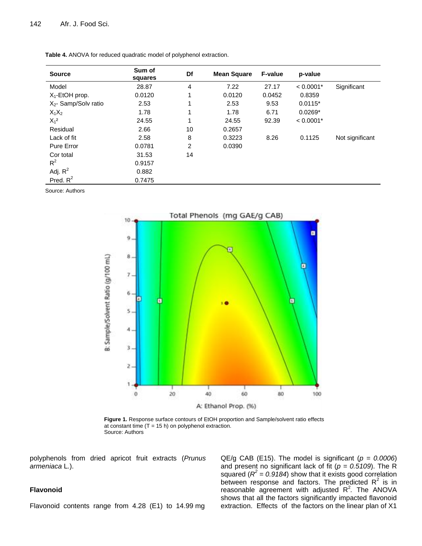| <b>Source</b>                    | Sum of<br>squares | Df | <b>Mean Square</b> | <b>F-value</b> | p-value     |                 |
|----------------------------------|-------------------|----|--------------------|----------------|-------------|-----------------|
| Model                            | 28.87             | 4  | 7.22               | 27.17          | $< 0.0001*$ | Significant     |
| $X_1$ -EtOH prop.                | 0.0120            | 1  | 0.0120             | 0.0452         | 0.8359      |                 |
| X <sub>2</sub> - Samp/Solv ratio | 2.53              |    | 2.53               | 9.53           | $0.0115*$   |                 |
| $X_1X_2$                         | 1.78              | 1  | 1.78               | 6.71           | $0.0269*$   |                 |
| $X_1^2$                          | 24.55             |    | 24.55              | 92.39          | $< 0.0001*$ |                 |
| Residual                         | 2.66              | 10 | 0.2657             |                |             |                 |
| Lack of fit                      | 2.58              | 8  | 0.3223             | 8.26           | 0.1125      | Not significant |
| Pure Error                       | 0.0781            | 2  | 0.0390             |                |             |                 |
| Cor total                        | 31.53             | 14 |                    |                |             |                 |
| $R^2$                            | 0.9157            |    |                    |                |             |                 |
| Adj. $R^2$                       | 0.882             |    |                    |                |             |                 |
| Pred. $R^2$                      | 0.7475            |    |                    |                |             |                 |

**Table 4.** ANOVA for reduced quadratic model of polyphenol extraction.

Source: Authors



**Figure 1.** Response surface contours of EtOH proportion and Sample/solvent ratio effects at constant time  $(T = 15 h)$  on polyphenol extraction. Source: Authors

polyphenols from dried apricot fruit extracts (*Prunus armeniaca* L*.*).

## **Flavonoid**

Flavonoid contents range from 4.28 (E1) to 14.99 mg

QE/g CAB (E15). The model is significant (*p = 0.0006*) and present no significant lack of fit (*p = 0.5109*). The R squared  $(R^2 = 0.9184)$  show that it exists good correlation between response and factors. The predicted  $R^2$  is in reasonable agreement with adjusted R<sup>2</sup>. The ANOVA shows that all the factors significantly impacted flavonoid extraction. Effects of the factors on the linear plan of X1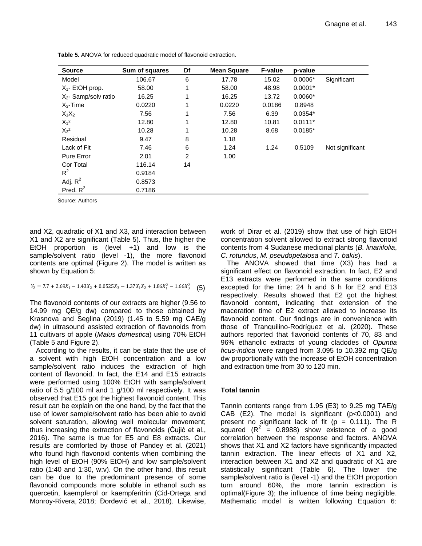| <b>Source</b>           | Sum of squares | Df | <b>Mean Square</b> | <b>F-value</b> | p-value   |                 |
|-------------------------|----------------|----|--------------------|----------------|-----------|-----------------|
| Model                   | 106.67         | 6  | 17.78              | 15.02          | $0.0006*$ | Significant     |
| $X_1$ - EtOH prop.      | 58.00          | 1  | 58.00              | 48.98          | $0.0001*$ |                 |
| $X_2$ - Samp/solv ratio | 16.25          | 1  | 16.25              | 13.72          | $0.0060*$ |                 |
| $X_3$ -Time             | 0.0220         | 1  | 0.0220             | 0.0186         | 0.8948    |                 |
| $X_1X_2$                | 7.56           | 1  | 7.56               | 6.39           | $0.0354*$ |                 |
| $X_1^2$                 | 12.80          | 1  | 12.80              | 10.81          | $0.0111*$ |                 |
| $X_3^2$                 | 10.28          | 1  | 10.28              | 8.68           | $0.0185*$ |                 |
| Residual                | 9.47           | 8  | 1.18               |                |           |                 |
| Lack of Fit             | 7.46           | 6  | 1.24               | 1.24           | 0.5109    | Not significant |
| Pure Error              | 2.01           | 2  | 1.00               |                |           |                 |
| Cor Total               | 116.14         | 14 |                    |                |           |                 |
| $R^2$                   | 0.9184         |    |                    |                |           |                 |
| Adj. $R^2$              | 0.8573         |    |                    |                |           |                 |
| Pred. $R^2$             | 0.7186         |    |                    |                |           |                 |

**Table 5.** ANOVA for reduced quadratic model of flavonoid extraction.

Source: Authors

and X2, quadratic of X1 and X3, and interaction between X1 and X2 are significant (Table 5). Thus, the higher the EtOH proportion is (level +1) and low is the sample/solvent ratio (level -1), the more flavonoid contents are optimal (Figure 2). The model is written as shown by Equation 5:

$$
Y_2 = 7.7 + 2.69X_1 - 1.43X_2 + 0.0525X_3 - 1.37X_1X_2 + 1.86X_1^2 - 1.66X_3^2 \tag{5}
$$

The flavonoid contents of our extracts are higher (9.56 to 14.99 mg QE/g dw) compared to those obtained by Krasnova and Seglina (2019) (1.45 to 5.59 mg CAE/g dw) in ultrasound assisted extraction of flavonoids from 11 cultivars of apple (*Malus domestica*) using 70% EtOH (Table 5 and Figure 2).

According to the results, it can be state that the use of a solvent with high EtOH concentration and a low sample/solvent ratio induces the extraction of high content of flavonoid. In fact, the E14 and E15 extracts were performed using 100% EtOH with sample/solvent ratio of 5.5 g/100 ml and 1 g/100 ml respectively. It was observed that E15 got the highest flavonoid content. This result can be explain on the one hand, by the fact that the use of lower sample/solvent ratio has been able to avoid solvent saturation, allowing well molecular movement; thus increasing the extraction of flavonoids (Ćujić et al., 2016). The same is true for E5 and E8 extracts. Our results are comforted by those of Pandey et al. (2021) who found high flavonoid contents when combining the high level of EtOH (90% EtOH) and low sample/solvent ratio (1:40 and 1:30, w:v). On the other hand, this result can be due to the predominant presence of some flavonoid compounds more soluble in ethanol such as quercetin, kaempferol or kaempferitrin (Cid-Ortega and Monroy-Rivera, 2018; Đorđević et al., 2018). Likewise, work of Dirar et al. (2019) show that use of high EtOH concentration solvent allowed to extract strong flavonoid contents from 4 Sudanese medicinal plants (*B. linariifolia*, *C. rotundus*, *M. pseudopetalosa* and *T. bakis*).

The ANOVA showed that time (X3) has had a significant effect on flavonoid extraction. In fact, E2 and E13 extracts were performed in the same conditions excepted for the time: 24 h and 6 h for E2 and E13 respectively. Results showed that E2 got the highest flavonoid content, indicating that extension of the maceration time of E2 extract allowed to increase its flavonoid content. Our findings are in convenience with those of Tranquilino-Rodríguez et al. (2020). These authors reported that flavonoid contents of 70, 83 and 96% ethanolic extracts of young cladodes of *Opuntia ficus-indica* were ranged from 3.095 to 10.392 mg QE/g dw proportionally with the increase of EtOH concentration and extraction time from 30 to 120 min.

# **Total tannin**

Tannin contents range from 1.95 (E3) to 9.25 mg TAE/g CAB (E2). The model is significant (p<0.0001) and present no significant lack of fit ( $p = 0.111$ ). The R squared  $(R^2 = 0.8988)$  show existence of a good correlation between the response and factors. ANOVA shows that X1 and X2 factors have significantly impacted tannin extraction. The linear effects of X1 and X2, interaction between X1 and X2 and quadratic of X1 are statistically significant (Table 6). The lower the sample/solvent ratio is (level -1) and the EtOH proportion turn around 60%, the more tannin extraction is optimal(Figure 3); the influence of time being negligible. Mathematic model is written following Equation 6: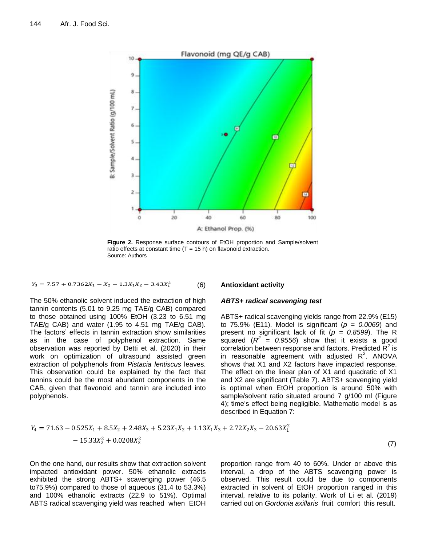

**Figure 2.** Response surface contours of EtOH proportion and Sample/solvent ratio effects at constant time  $(T = 15 h)$  on flavonoid extraction. Source: Authors

$$
Y_3 = 7.57 + 0.7362X_1 - X_2 - 1.3X_1X_2 - 3.43X_1^2
$$
 (6)

## **Antioxidant activity**

*ABTS+ radical scavenging test* 

The 50% ethanolic solvent induced the extraction of high tannin contents (5.01 to 9.25 mg TAE/g CAB) compared to those obtained using 100% EtOH (3.23 to 6.51 mg TAE/g CAB) and water (1.95 to 4.51 mg TAE/g CAB). The factors' effects in tannin extraction show similarities as in the case of polyphenol extraction. Same observation was reported by Detti et al. (2020) in their work on optimization of ultrasound assisted green extraction of polyphenols from *Pistacia lentiscus* leaves. This observation could be explained by the fact that tannins could be the most abundant components in the CAB, given that flavonoid and tannin are included into polyphenols.

## ABTS+ radical scavenging yields range from 22.9% (E15) to 75.9% (E11). Model is significant (*p = 0.0069*) and present no significant lack of fit (*p = 0.8599*). The R squared  $(R^2 = 0.9556)$  show that it exists a good correlation between response and factors. Predicted  $\mathsf{R}^2$  is in reasonable agreement with adjusted  $R^2$ . ANOVA shows that X1 and X2 factors have impacted response. The effect on the linear plan of X1 and quadratic of X1 and X2 are significant (Table 7). ABTS+ scavenging yield is optimal when EtOH proportion is around 50% with sample/solvent ratio situated around 7 g/100 ml (Figure 4); time's effect being negligible. Mathematic model is as described in Equation 7:

$$
Y_4 = 71.63 - 0.525X_1 + 8.5X_2 + 2.48X_3 + 5.23X_1X_2 + 1.13X_1X_3 + 2.72X_2X_3 - 20.63X_1^2 - 15.33X_2^2 + 0.0208X_3^2
$$
\n(7)

On the one hand, our results show that extraction solvent impacted antioxidant power. 50% ethanolic extracts exhibited the strong ABTS+ scavenging power (46.5 to75.9%) compared to those of aqueous (31.4 to 53.3%) and 100% ethanolic extracts (22.9 to 51%). Optimal ABTS radical scavenging yield was reached when EtOH proportion range from 40 to 60%. Under or above this interval, a drop of the ABTS scavenging power is observed. This result could be due to components extracted in solvent of EtOH proportion ranged in this interval, relative to its polarity. Work of Li et al. (2019) carried out on *Gordonia axillaris* fruit comfort this result.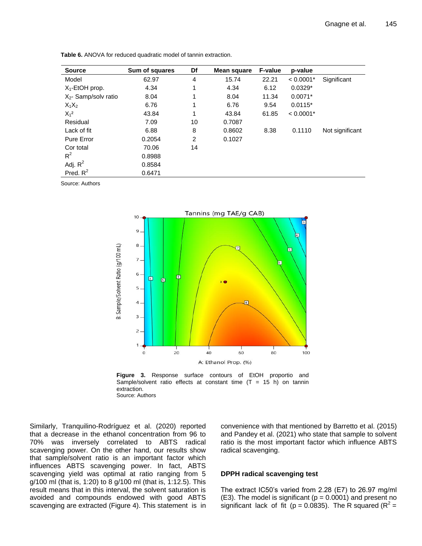| <b>Source</b>           | Sum of squares | Df | Mean square | <b>F-value</b> | p-value     |                 |
|-------------------------|----------------|----|-------------|----------------|-------------|-----------------|
| Model                   | 62.97          | 4  | 15.74       | 22.21          | $< 0.0001*$ | Significant     |
| $X_1$ -EtOH prop.       | 4.34           | 1  | 4.34        | 6.12           | $0.0329*$   |                 |
| $X_2$ - Samp/solv ratio | 8.04           | 1  | 8.04        | 11.34          | $0.0071*$   |                 |
| $X_1X_2$                | 6.76           | 1  | 6.76        | 9.54           | $0.0115*$   |                 |
| $X_1^2$                 | 43.84          | 1  | 43.84       | 61.85          | $< 0.0001*$ |                 |
| Residual                | 7.09           | 10 | 0.7087      |                |             |                 |
| Lack of fit             | 6.88           | 8  | 0.8602      | 8.38           | 0.1110      | Not significant |
| Pure Error              | 0.2054         | 2  | 0.1027      |                |             |                 |
| Cor total               | 70.06          | 14 |             |                |             |                 |
| $R^2$                   | 0.8988         |    |             |                |             |                 |
| Adj. $R^2$              | 0.8584         |    |             |                |             |                 |
| Pred. $R^2$             | 0.6471         |    |             |                |             |                 |

**Table 6.** ANOVA for reduced quadratic model of tannin extraction.

Source: Authors





Similarly, Tranquilino-Rodríguez et al. (2020) reported that a decrease in the ethanol concentration from 96 to 70% was inversely correlated to ABTS radical scavenging power. On the other hand, our results show that sample/solvent ratio is an important factor which influences ABTS scavenging power. In fact, ABTS scavenging yield was optimal at ratio ranging from 5 g/100 ml (that is, 1:20) to 8 g/100 ml (that is, 1:12.5). This result means that in this interval, the solvent saturation is avoided and compounds endowed with good ABTS scavenging are extracted (Figure 4). This statement is in convenience with that mentioned by Barretto et al. (2015) and Pandey et al. (2021) who state that sample to solvent ratio is the most important factor which influence ABTS radical scavenging.

## **DPPH radical scavenging test**

The extract IC50's varied from 2.28 (E7) to 26.97 mg/ml  $(E3)$ . The model is significant ( $p = 0.0001$ ) and present no significant lack of fit ( $p = 0.0835$ ). The R squared ( $R^2 =$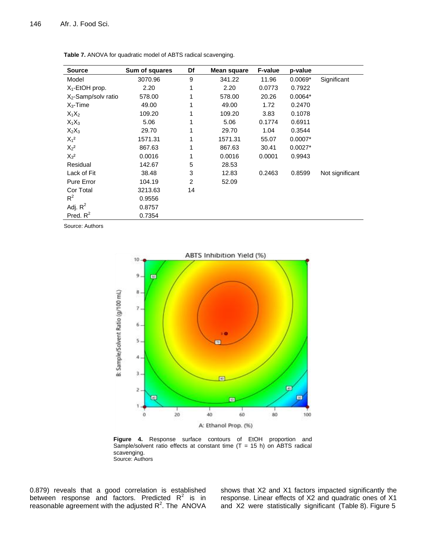| <b>Source</b>          | Sum of squares | Df             | Mean square | F-value | p-value   |                 |
|------------------------|----------------|----------------|-------------|---------|-----------|-----------------|
| Model                  | 3070.96        | 9              | 341.22      | 11.96   | $0.0069*$ | Significant     |
| $X_1$ -EtOH prop.      | 2.20           | 1              | 2.20        | 0.0773  | 0.7922    |                 |
| $X_2$ -Samp/solv ratio | 578.00         | 1              | 578.00      | 20.26   | $0.0064*$ |                 |
| $X_3$ -Time            | 49.00          | 1              | 49.00       | 1.72    | 0.2470    |                 |
| $X_1X_2$               | 109.20         | 1              | 109.20      | 3.83    | 0.1078    |                 |
| $X_1X_3$               | 5.06           | 1              | 5.06        | 0.1774  | 0.6911    |                 |
| $X_2X_3$               | 29.70          | 1              | 29.70       | 1.04    | 0.3544    |                 |
| $X_1^2$                | 1571.31        | 1              | 1571.31     | 55.07   | $0.0007*$ |                 |
| $X_2^2$                | 867.63         | 1              | 867.63      | 30.41   | $0.0027*$ |                 |
| $X_3^2$                | 0.0016         | 1              | 0.0016      | 0.0001  | 0.9943    |                 |
| Residual               | 142.67         | 5              | 28.53       |         |           |                 |
| Lack of Fit            | 38.48          | 3              | 12.83       | 0.2463  | 0.8599    | Not significant |
| Pure Error             | 104.19         | $\overline{2}$ | 52.09       |         |           |                 |
| Cor Total              | 3213.63        | 14             |             |         |           |                 |
| $R^2$                  | 0.9556         |                |             |         |           |                 |
| Adj. $R^2$             | 0.8757         |                |             |         |           |                 |
| Pred. $R^2$            | 0.7354         |                |             |         |           |                 |

**Table 7.** ANOVA for quadratic model of ABTS radical scavenging.

Source: Authors



**Figure 4.** Response surface contours of EtOH proportion and Sample/solvent ratio effects at constant time  $(T = 15 h)$  on ABTS radical scavenging. Source: Authors

0.879) reveals that a good correlation is established between response and factors. Predicted  $R^2$  is in reasonable agreement with the adjusted  $R^2$ . The ANOVA

shows that X2 and X1 factors impacted significantly the response. Linear effects of X2 and quadratic ones of X1 and X2 were statistically significant (Table 8). Figure 5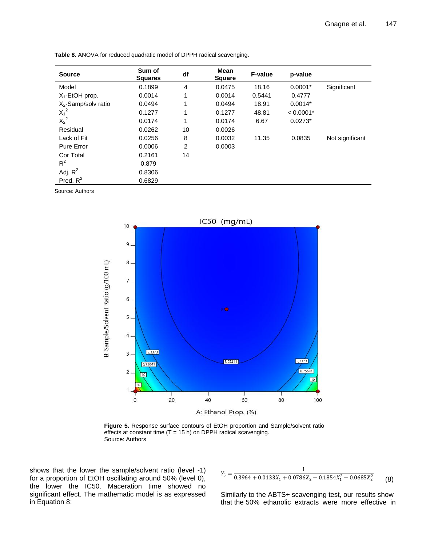| <b>Source</b>          | Sum of<br><b>Squares</b> | df             | <b>Mean</b><br><b>Square</b> | <b>F-value</b> | p-value     |                 |
|------------------------|--------------------------|----------------|------------------------------|----------------|-------------|-----------------|
| Model                  | 0.1899                   | 4              | 0.0475                       | 18.16          | $0.0001*$   | Significant     |
| $X_1$ -EtOH prop.      | 0.0014                   | 1              | 0.0014                       | 0.5441         | 0.4777      |                 |
| $X_2$ -Samp/solv ratio | 0.0494                   | 1              | 0.0494                       | 18.91          | $0.0014*$   |                 |
| $X_1^2$                | 0.1277                   | 1              | 0.1277                       | 48.81          | $< 0.0001*$ |                 |
| $X_2^2$                | 0.0174                   | 1              | 0.0174                       | 6.67           | $0.0273*$   |                 |
| Residual               | 0.0262                   | 10             | 0.0026                       |                |             |                 |
| Lack of Fit            | 0.0256                   | 8              | 0.0032                       | 11.35          | 0.0835      | Not significant |
| Pure Error             | 0.0006                   | $\overline{2}$ | 0.0003                       |                |             |                 |
| Cor Total              | 0.2161                   | 14             |                              |                |             |                 |
| $R^2$                  | 0.879                    |                |                              |                |             |                 |
| Adj. $R^2$             | 0.8306                   |                |                              |                |             |                 |
| Pred. $R^2$            | 0.6829                   |                |                              |                |             |                 |

**Table 8.** ANOVA for reduced quadratic model of DPPH radical scavenging.

Source: Authors



**Figure 5.** Response surface contours of EtOH proportion and Sample/solvent ratio effects at constant time  $(T = 15 h)$  on DPPH radical scavenging. Source: Authors

shows that the lower the sample/solvent ratio (level -1) for a proportion of EtOH oscillating around 50% (level 0), the lower the IC50. Maceration time showed no significant effect. The mathematic model is as expressed in Equation 8:

$$
Y_5 = \frac{1}{0.3964 + 0.0133X_1 + 0.0786X_2 - 0.1854X_1^2 - 0.0685X_2^2}
$$
 (8)

Similarly to the ABTS+ scavenging test, our results show that the 50% ethanolic extracts were more effective in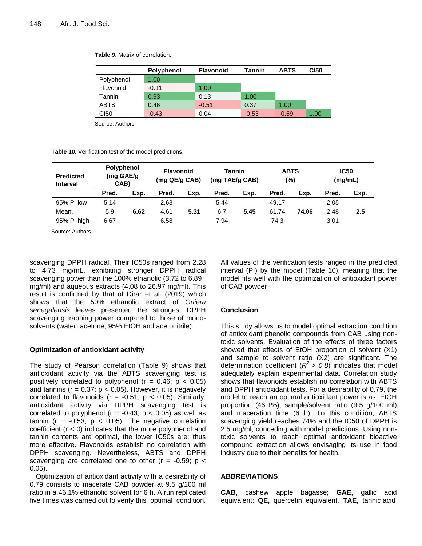|                  | <b>Polyphenol</b> | <b>Flavonoid</b> | Tannin  | <b>ABTS</b> | CI50 |
|------------------|-------------------|------------------|---------|-------------|------|
| Polyphenol       | 1.00              |                  |         |             |      |
| Flavonoid        | $-0.11$           | 1.00             |         |             |      |
| Tannin           | 0.93              | 0.13             | 1.00    |             |      |
| <b>ABTS</b>      | 0.46              | $-0.51$          | 0.37    | 1.00        |      |
| C <sub>150</sub> | $-0.43$           | 0.04             | $-0.53$ | $-0.59$     | 1.00 |

**Table 9.** Matrix of correlation.

Source: Authors

**Table 10.** Verification test of the model predictions.

| <b>Predicted</b><br><b>Interval</b> | <b>Polyphenol</b><br>(mg GAE/g<br>CAB) |      | <b>Flavonoid</b><br>(mg QE/g CAB) |      | <b>Tannin</b><br>(mg TAE/g CAB) |      | <b>ABTS</b><br>(%) |       | <b>IC50</b><br>(mg/mL) |      |
|-------------------------------------|----------------------------------------|------|-----------------------------------|------|---------------------------------|------|--------------------|-------|------------------------|------|
|                                     | Pred.                                  | Exp. | Pred.                             | Exp. | Pred.                           | Exp. | Pred.              | Exp.  | Pred.                  | Exp. |
| 95% PI low                          | 5.14                                   |      | 2.63                              |      | 5.44                            |      | 49.17              |       | 2.05                   |      |
| Mean.                               | 5.9                                    | 6.62 | 4.61                              | 5.31 | 6.7                             | 5.45 | 61.74              | 74.06 | 2.48                   | 2.5  |
| 95% PI high                         | 6.67                                   |      | 6.58                              |      | 7.94                            |      | 74.3               |       | 3.01                   |      |

Source: Authors

scavenging DPPH radical. Their IC50s ranged from 2.28 to 4.73 mg/mL, exhibiting stronger DPPH radical scavenging power than the 100% ethanolic (3.72 to 6.89 mg/ml) and aqueous extracts (4.08 to 26.97 mg/ml). This result is confirmed by that of Dirar et al. (2019) which shows that the 50% ethanolic extract of *Guiera senegalensis* leaves presented the strongest DPPH scavenging trapping power compared to those of monosolvents (water, acetone, 95% EtOH and acetonitrile).

# **Optimization of antioxidant activity**

The study of Pearson correlation (Table 9) shows that antioxidant activity via the ABTS scavenging test is positively correlated to polyphenol ( $r = 0.46$ ;  $p < 0.05$ ) and tannins ( $r = 0.37$ ;  $p < 0.05$ ). However, it is negatively correlated to flavonoids ( $r = -0.51$ ;  $p < 0.05$ ). Similarly, antioxidant activity via DPPH scavenging test is correlated to polyphenol ( $r = -0.43$ ;  $p < 0.05$ ) as well as tannin ( $r = -0.53$ ;  $p < 0.05$ ). The negative correlation coefficient  $(r < 0)$  indicates that the more polyphenol and tannin contents are optimal, the lower IC50s are; thus more effective. Flavonoids establish no correlation with DPPH scavenging. Nevertheless, ABTS and DPPH scavenging are correlated one to other  $(r = -0.59; p <$ 0.05).

Optimization of antioxidant activity with a desirability of 0.79 consists to macerate CAB powder at 9.5 g/100 ml ratio in a 46.1% ethanolic solvent for 6 h. A run replicated five times was carried out to verify this optimal condition.

All values of the verification tests ranged in the predicted interval (PI) by the model (Table 10), meaning that the model fits well with the optimization of antioxidant power of CAB powder.

# **Conclusion**

This study allows us to model optimal extraction condition of antioxidant phenolic compounds from CAB using nontoxic solvents. Evaluation of the effects of three factors showed that effects of EtOH proportion of solvent (X1) and sample to solvent ratio (X2) are significant. The determination coefficient  $(R^2 > 0.8)$  indicates that model adequately explain experimental data. Correlation study shows that flavonoids establish no correlation with ABTS and DPPH antioxidant tests. For a desirability of 0.79, the model to reach an optimal antioxidant power is as: EtOH proportion (46.1%), sample/solvent ratio (9.5 g/100 ml) and maceration time (6 h). To this condition, ABTS scavenging yield reaches 74% and the IC50 of DPPH is 2.5 mg/ml, conceding with model predictions. Using nontoxic solvents to reach optimal antioxidant bioactive compound extraction allows envisaging its use in food industry due to their benefits for health.

# **ABBREVIATIONS**

**CAB,** cashew apple bagasse; **GAE,** gallic acid equivalent; **QE,** quercetin equivalent, **TAE,** tannic acid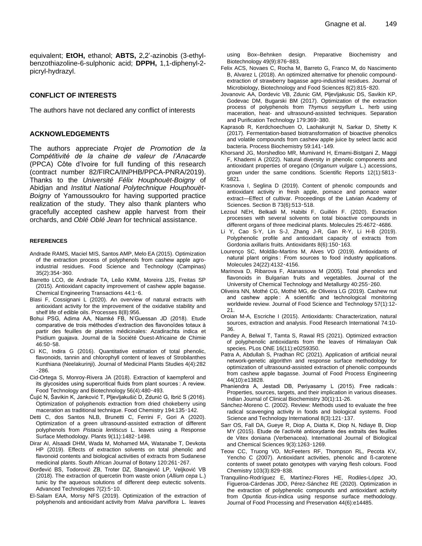equivalent; **EtOH,** ethanol; **ABTS,** 2,2'-azinobis (3-ethylbenzothiazoline-6-sulphonic acid; **DPPH,** 1,1-diphenyl-2 picryl-hydrazyl.

# **CONFLICT OF INTERESTS**

The authors have not declared any conflict of interests

## **ACKNOWLEDGEMENTS**

The authors appreciate *Projet de Promotion de la Compétitivité de la chaine de valeur de l'Anacarde* (PPCA) Côte d'Ivoire for full funding of this research (contract number 82/FIRCA/INPHB/PPCA-PNRA/2019). Thanks to the *Université Félix Houphouët-Boigny* of Abidjan and *Institut National Polytechnique Houphouët-Boigny* of Yamoussoukro for having supported practice realization of the study. They also thank planters who gracefully accepted cashew apple harvest from their orchards, and *Oblé Oblé Jean* for technical assistance.

#### **REFERENCES**

- Andrade RAMS, Maciel MIS, Santos AMP, Melo EA (2015). Optimization of the extraction process of polyphenols from cashew apple agroindustrial residues. Food Science and Technology (Campinas) 35(2):354‑360.
- Barretto LCO, de Andrade TA, Leão KMM, Moreira JJS, Freitas SP (2015). Antioxidant capacity improvement of cashew apple bagasse. Chemical Engineering Transactions 44:1‑6.
- Blasi F, Cossignani L (2020). An overview of natural extracts with antioxidant activity for the improvement of the oxidative stability and shelf life of edible oils. Processes 8(8):956.
- Bohui PSG, Adima AA, Niamké FB, N'Guessan JD (2018). Etude comparative de trois méthodes d'extraction des flavonoïdes totaux à partir des feuilles de plantes médicinales: Azadirachta indica et Psidium guajava. Journal de la Société Ouest-Africaine de Chimie 46:50‑58.
- Ci KC, Indira G (2016). Quantitative estimation of total phenolic, flavonoids, tannin and chlorophyll content of leaves of Strobilanthes Kunthiana (Neelakurinji). Journal of Medicinal Plants Studies 4(4):282 ‑286.
- Cid-Ortega S, Monroy-Rivera JA (2018). Extraction of kaempferol and its glycosides using supercritical fluids from plant sources : A review. Food Technology and Biotechnology 56(4):480‑493.
- Ćujić N, Šavikin K, Janković T, Pljevljakušić D, Zdunić G, Ibrić S (2016). Optimization of polyphenols extraction from dried chokeberry using maceration as traditional technique. Food Chemistry 194:135-142.
- Detti C, dos Santos NLB, Brunetti C, Ferrini F, Gori A (2020). Optimization of a green ultrasound-assisted extraction of different polyphenols from *Pistacia lentiscus* L. leaves using a Response Surface Methodology. Plants 9(11):1482‑1498.
- Dirar AI, Alsaadi DHM, Wada M, Mohamed MA, Watanabe T, Devkota HP (2019). Effects of extraction solvents on total phenolic and flavonoid contents and biological activities of extracts from Sudanese medicinal plants. South African Journal of Botany 120:261-267.
- Đorđević BS, Todorović ZB, Troter DZ, Stanojević LP, Veljković VB (2018). The extraction of quercetin from waste onion (*Allium cepa* L.) tunic by the aqueous solutions of different deep eutectic solvents. Advanced Technologies 7(2):5‑10.
- El-Salam EAA, Morsy NFS (2019). Optimization of the extraction of polyphenols and antioxidant activity from *Malva parviflora* L. leaves

using Box–Behnken design. Preparative Biochemistry and Biotechnology 49(9):876-883.

- Felix ACS, Novaes C, Rocha M, Barreto G, Franco M, do Nascimento B, Alvarez L (2018). An optimized alternative for phenolic compoundextraction of strawberry bagasse agro-industrial residues. Journal of Microbiology, Biotechnology and Food Sciences 8(2):815‑820.
- Jovanovic AA, Dordevic VB, Zdunic GM, Pljevljakusic DS, Savikin KP, Godevac DM, Bugarski BM (2017). Optimization of the extraction process of polyphenols from *Thymus serpyllum* L. herb using maceration, heat- and ultrasound-assisted techniques. Separation and Purification Technology 179:369‑380.
- Kaprasob R, Kerdchoechuen O, Laohakunjit N, Sarkar D, Shetty K (2017). Fermentation-based biotransformation of bioactive phenolics and volatile compounds from cashew apple juice by select lactic acid bacteria. Process Biochemistry 59:141‑149.
- Khorsand JG, Morshedloo MR, Mumivand H, Emami-Bistgani Z, Maggi F, Khademi A (2022). Natural diversity in phenolic components and antioxidant properties of oregano (*Origanum vulgare* L.) accessions, grown under the same conditions. Scientific Reports 12(1):5813-5821.
- Krasnova I, Seglina D (2019). Content of phenolic compounds and antioxidant activity in fresh apple, pomace and pomace water extract—Effect of cultivar. Proceedings of the Latvian Academy of Sciences. Section B 73(6):513‑518.
- Lezoul NEH, Belkadi M, Habibi F, Guillén F. (2020). Extraction processes with several solvents on total bioactive compounds in different organs of three medicinal plants. Molecules 25:4672‑4686.
- Li Y, Cao S-Y, Lin S-J, Zhang J-R, Gan R-Y, Li H-B (2019). Polyphenolic profile and antioxidant capacity of extracts from Gordonia axillaris fruits. Antioxidants 8(6):150‑163.
- Lourenço SC, Moldão-Martins M, Alves VD (2019). Antioxidants of natural plant origins : From sources to food industry applications. Molecules 24(22):4132‑4156.
- Marinova D, Ribarova F, Atanassova M (2005). Total phenolics and flavonoids in Bulgarian fruits and vegetables. Journal of the University of Chemical Technology and Metallurgy 40:255‑260.
- Oliveira NN, Mothé CG, Mothé MG, de Oliveira LG (2019). Cashew nut and cashew apple : A scientific and technological monitoring worldwide review. Journal of Food Science and Technology 57(1):12- 21.
- Oroian M-A, Escriche I (2015). Antioxidants: Characterization, natural sources, extraction and analysis. Food Research International 74:10- 36.
- Pandey A, Belwal T, Tamta S, Rawal RS (2021). Optimized extraction of polyphenolic antioxidants from the leaves of Himalayan Oak species. PLos ONE 16(11):e0259350.
- Patra A, Abdullah S, Pradhan RC (2021). Application of artificial neural network-genetic algorithm and response surface methodology for optimization of ultrasound-assisted extraction of phenolic compounds from cashew apple bagasse. Journal of Food Process Engineering 44(10):e13828.
- Phaniendra A, Jestadi DB, Periyasamy L (2015). Free radicals : Properties, sources, targets, and their implication in various diseases. Indian Journal of Clinical Biochemistry 30(1):11-26.
- Sánchez-Moreno C. (2002). Review: Methods used to evaluate the free radical scavenging activity in foods and biological systems. Food Science and Technology International 8(3):121-137.
- Sarr OS, Fall DA, Gueye R, Diop A, Diatta K, Diop N, Ndiaye B, Diop MY (2015). Etude de l'activité antioxydante des extraits des feuilles de Vitex doniana (Verbenacea). International Journal of Biological and Chemical Sciences 9(3):1263‑1269.
- Teow CC, Truong VD, McFeeters RF, Thompson RL, Pecota KV, Yencho C (2007). Antioxidant activities, phenolic and ß-carotene contents of sweet potato genotypes with varying flesh colours. Food Chemistry 103(3):829‑838.
- Tranquilino-Rodríguez E, Martínez-Flores HE, Rodiles-López JO, Figueroa-Cárdenas JDD, Pérez-Sánchez RE (2020). Optimization in the extraction of polyphenolic compounds and antioxidant activity from *Opuntia ficus*-indica using response surface methodology. Journal of Food Processing and Preservation 44(6):e14485.